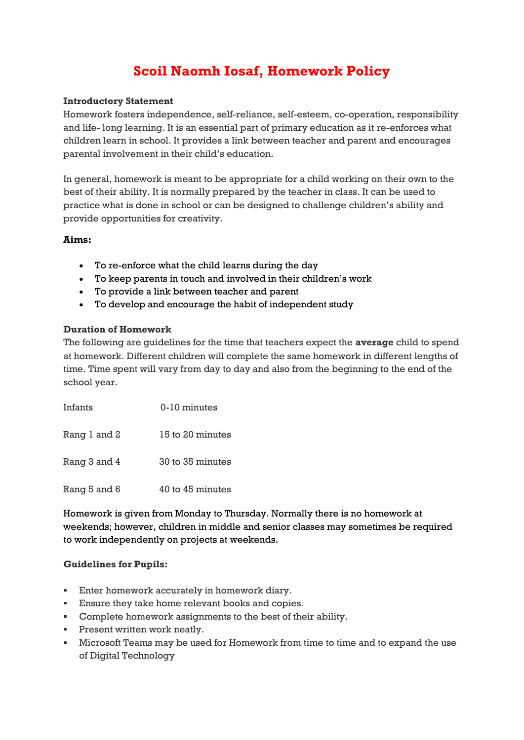# **Scoil Naomh Iosaf, Homework Policy**

# **Introductory Statement**

Homework fosters independence, self-reliance, self-esteem, co-operation, responsibility and life- long learning. It is an essential part of primary education as it re-enforces what children learn in school. It provides a link between teacher and parent and encourages parental involvement in their child's education.

In general, homework is meant to be appropriate for a child working on their own to the best of their ability. It is normally prepared by the teacher in class. It can be used to practice what is done in school or can be designed to challenge children's ability and provide opportunities for creativity.

## **Aims:**

- To re-enforce what the child learns during the day
- To keep parents in touch and involved in their children's work
- To provide a link between teacher and parent
- To develop and encourage the habit of independent study

#### **Duration of Homework**

The following are guidelines for the time that teachers expect the **average** child to spend at homework. Different children will complete the same homework in different lengths of time. Time spent will vary from day to day and also from the beginning to the end of the school year.

| Infants      | 0-10 minutes     |
|--------------|------------------|
| Rang 1 and 2 | 15 to 20 minutes |
| Rang 3 and 4 | 30 to 35 minutes |
| Rang 5 and 6 | 40 to 45 minutes |

Homework is given from Monday to Thursday. Normally there is no homework at weekends; however, children in middle and senior classes may sometimes be required to work independently on projects at weekends.

#### **Guidelines for Pupils:**

- **Enter homework accurately in homework diary.**
- Ensure they take home relevant books and copies.
- Complete homework assignments to the best of their ability.
- **Present written work neatly.**
- Microsoft Teams may be used for Homework from time to time and to expand the use of Digital Technology